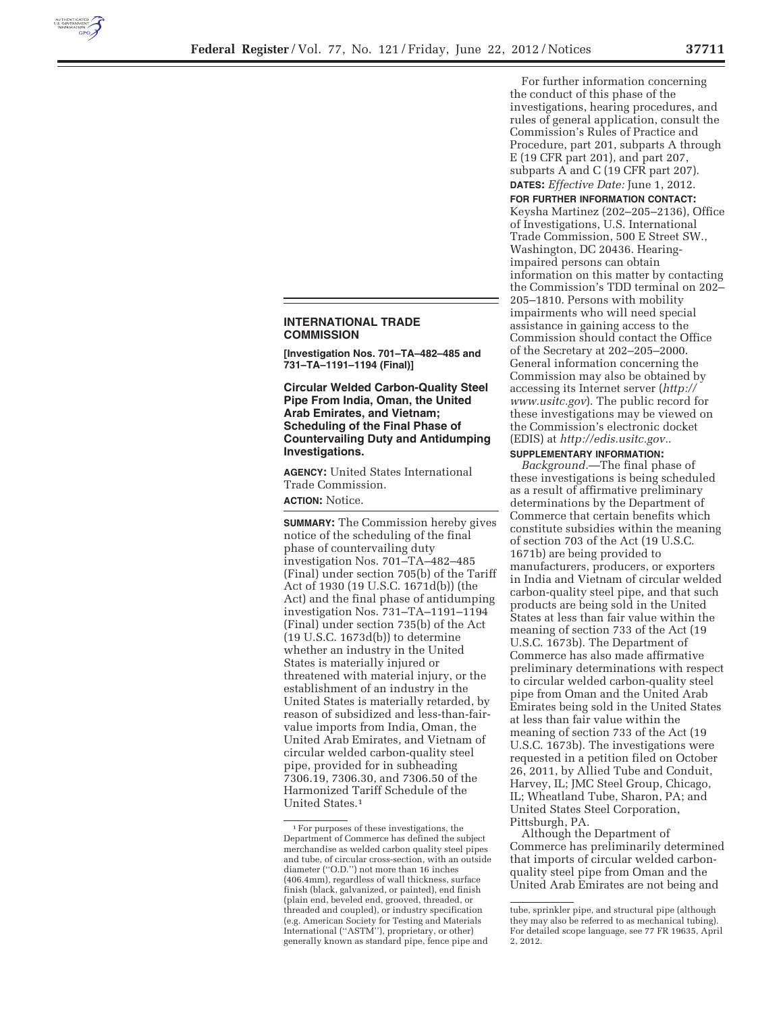

## **INTERNATIONAL TRADE COMMISSION**

**[Investigation Nos. 701–TA–482–485 and 731–TA–1191–1194 (Final)]** 

**Circular Welded Carbon-Quality Steel Pipe From India, Oman, the United Arab Emirates, and Vietnam; Scheduling of the Final Phase of Countervailing Duty and Antidumping Investigations.** 

**AGENCY:** United States International Trade Commission.

## **ACTION:** Notice.

**SUMMARY:** The Commission hereby gives notice of the scheduling of the final phase of countervailing duty investigation Nos. 701–TA–482–485 (Final) under section 705(b) of the Tariff Act of 1930 (19 U.S.C. 1671d(b)) (the Act) and the final phase of antidumping investigation Nos. 731–TA–1191–1194 (Final) under section 735(b) of the Act (19 U.S.C. 1673d(b)) to determine whether an industry in the United States is materially injured or threatened with material injury, or the establishment of an industry in the United States is materially retarded, by reason of subsidized and less-than-fairvalue imports from India, Oman, the United Arab Emirates, and Vietnam of circular welded carbon-quality steel pipe, provided for in subheading 7306.19, 7306.30, and 7306.50 of the Harmonized Tariff Schedule of the United States.1

For further information concerning the conduct of this phase of the investigations, hearing procedures, and rules of general application, consult the Commission's Rules of Practice and Procedure, part 201, subparts A through E (19 CFR part 201), and part 207, subparts A and C (19 CFR part 207). **DATES:** *Effective Date:* June 1, 2012.

**FOR FURTHER INFORMATION CONTACT:**  Keysha Martinez (202–205–2136), Office of Investigations, U.S. International Trade Commission, 500 E Street SW., Washington, DC 20436. Hearingimpaired persons can obtain information on this matter by contacting the Commission's TDD terminal on 202– 205–1810. Persons with mobility impairments who will need special assistance in gaining access to the Commission should contact the Office of the Secretary at 202–205–2000. General information concerning the Commission may also be obtained by accessing its Internet server (*http:// www.usitc.gov*). The public record for these investigations may be viewed on the Commission's electronic docket (EDIS) at *http://edis.usitc.gov.*.

## **SUPPLEMENTARY INFORMATION:**

*Background.*—The final phase of these investigations is being scheduled as a result of affirmative preliminary determinations by the Department of Commerce that certain benefits which constitute subsidies within the meaning of section 703 of the Act (19 U.S.C. 1671b) are being provided to manufacturers, producers, or exporters in India and Vietnam of circular welded carbon-quality steel pipe, and that such products are being sold in the United States at less than fair value within the meaning of section 733 of the Act (19 U.S.C. 1673b). The Department of Commerce has also made affirmative preliminary determinations with respect to circular welded carbon-quality steel pipe from Oman and the United Arab Emirates being sold in the United States at less than fair value within the meaning of section 733 of the Act (19 U.S.C. 1673b). The investigations were requested in a petition filed on October 26, 2011, by Allied Tube and Conduit, Harvey, IL; JMC Steel Group, Chicago, IL; Wheatland Tube, Sharon, PA; and United States Steel Corporation, Pittsburgh, PA.

Although the Department of Commerce has preliminarily determined that imports of circular welded carbonquality steel pipe from Oman and the United Arab Emirates are not being and

<sup>1</sup>For purposes of these investigations, the Department of Commerce has defined the subject merchandise as welded carbon quality steel pipes and tube, of circular cross-section, with an outside diameter (''O.D.'') not more than 16 inches (406.4mm), regardless of wall thickness, surface finish (black, galvanized, or painted), end finish (plain end, beveled end, grooved, threaded, or threaded and coupled), or industry specification (e.g. American Society for Testing and Materials International (''ASTM''), proprietary, or other) generally known as standard pipe, fence pipe and

tube, sprinkler pipe, and structural pipe (although they may also be referred to as mechanical tubing). For detailed scope language, see 77 FR 19635, April 2, 2012.